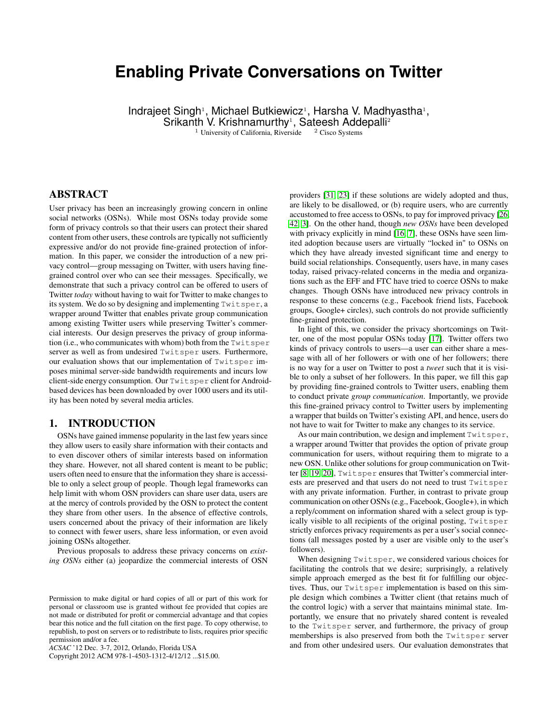# **Enabling Private Conversations on Twitter**

Indrajeet Singh<sup>1</sup>, Michael Butkiewicz<sup>1</sup>, Harsha V. Madhyastha<sup>1</sup>, Srikanth V. Krishnamurthy<sup>1</sup>, Sateesh Addepalli<sup>2</sup>

<sup>1</sup> University of California, Riverside  $2$  Cisco Systems

# ABSTRACT

User privacy has been an increasingly growing concern in online social networks (OSNs). While most OSNs today provide some form of privacy controls so that their users can protect their shared content from other users, these controls are typically not sufficiently expressive and/or do not provide fine-grained protection of information. In this paper, we consider the introduction of a new privacy control—group messaging on Twitter, with users having finegrained control over who can see their messages. Specifically, we demonstrate that such a privacy control can be offered to users of Twitter *today* without having to wait for Twitter to make changes to its system. We do so by designing and implementing Twitsper, a wrapper around Twitter that enables private group communication among existing Twitter users while preserving Twitter's commercial interests. Our design preserves the privacy of group information (i.e., who communicates with whom) both from the Twitsper server as well as from undesired Twitsper users. Furthermore, our evaluation shows that our implementation of Twitsper imposes minimal server-side bandwidth requirements and incurs low client-side energy consumption. Our Twitsper client for Androidbased devices has been downloaded by over 1000 users and its utility has been noted by several media articles.

### 1. INTRODUCTION

OSNs have gained immense popularity in the last few years since they allow users to easily share information with their contacts and to even discover others of similar interests based on information they share. However, not all shared content is meant to be public; users often need to ensure that the information they share is accessible to only a select group of people. Though legal frameworks can help limit with whom OSN providers can share user data, users are at the mercy of controls provided by the OSN to protect the content they share from other users. In the absence of effective controls, users concerned about the privacy of their information are likely to connect with fewer users, share less information, or even avoid joining OSNs altogether.

Previous proposals to address these privacy concerns on *existing OSNs* either (a) jeopardize the commercial interests of OSN

Copyright 2012 ACM 978-1-4503-1312-4/12/12 ...\$15.00.

providers [\[31,](#page-9-0) [23\]](#page-9-1) if these solutions are widely adopted and thus, are likely to be disallowed, or (b) require users, who are currently accustomed to free access to OSNs, to pay for improved privacy [\[26,](#page-9-2) [42,](#page-9-3) [3\]](#page-9-4). On the other hand, though *new OSNs* have been developed with privacy explicitly in mind [\[16,](#page-9-5) [7\]](#page-9-6), these OSNs have seen limited adoption because users are virtually "locked in" to OSNs on which they have already invested significant time and energy to build social relationships. Consequently, users have, in many cases today, raised privacy-related concerns in the media and organizations such as the EFF and FTC have tried to coerce OSNs to make changes. Though OSNs have introduced new privacy controls in response to these concerns (e.g., Facebook friend lists, Facebook groups, Google+ circles), such controls do not provide sufficiently fine-grained protection.

In light of this, we consider the privacy shortcomings on Twitter, one of the most popular OSNs today [\[17\]](#page-9-7). Twitter offers two kinds of privacy controls to users—a user can either share a message with all of her followers or with one of her followers; there is no way for a user on Twitter to post a *tweet* such that it is visible to only a subset of her followers. In this paper, we fill this gap by providing fine-grained controls to Twitter users, enabling them to conduct private *group communication*. Importantly, we provide this fine-grained privacy control to Twitter users by implementing a wrapper that builds on Twitter's existing API, and hence, users do not have to wait for Twitter to make any changes to its service.

As our main contribution, we design and implement Twitsper, a wrapper around Twitter that provides the option of private group communication for users, without requiring them to migrate to a new OSN. Unlike other solutions for group communication on Twitter [\[8,](#page-9-8) [19,](#page-9-9) [20\]](#page-9-10), Twitsper ensures that Twitter's commercial interests are preserved and that users do not need to trust Twitsper with any private information. Further, in contrast to private group communication on other OSNs (e.g., Facebook, Google+), in which a reply/comment on information shared with a select group is typically visible to all recipients of the original posting, Twitsper strictly enforces privacy requirements as per a user's social connections (all messages posted by a user are visible only to the user's followers).

When designing Twitsper, we considered various choices for facilitating the controls that we desire; surprisingly, a relatively simple approach emerged as the best fit for fulfilling our objectives. Thus, our Twitsper implementation is based on this simple design which combines a Twitter client (that retains much of the control logic) with a server that maintains minimal state. Importantly, we ensure that no privately shared content is revealed to the Twitsper server, and furthermore, the privacy of group memberships is also preserved from both the Twitsper server and from other undesired users. Our evaluation demonstrates that

Permission to make digital or hard copies of all or part of this work for personal or classroom use is granted without fee provided that copies are not made or distributed for profit or commercial advantage and that copies bear this notice and the full citation on the first page. To copy otherwise, to republish, to post on servers or to redistribute to lists, requires prior specific permission and/or a fee.

*ACSAC* '12 Dec. 3-7, 2012, Orlando, Florida USA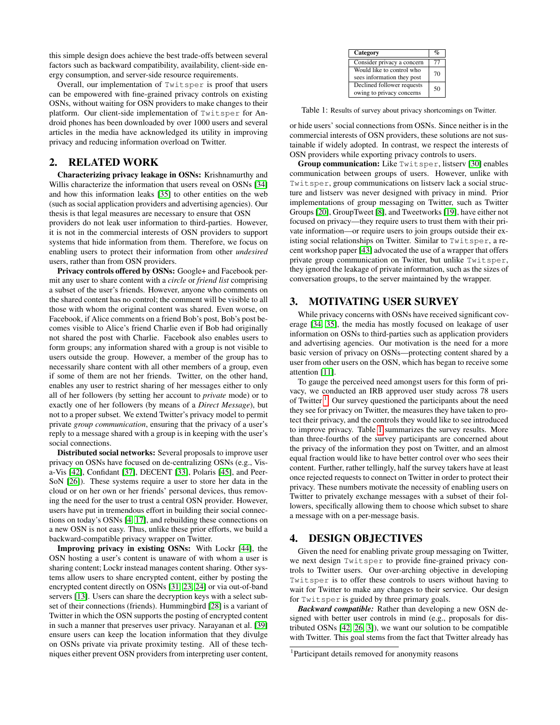this simple design does achieve the best trade-offs between several factors such as backward compatibility, availability, client-side energy consumption, and server-side resource requirements.

Overall, our implementation of Twitsper is proof that users can be empowered with fine-grained privacy controls on existing OSNs, without waiting for OSN providers to make changes to their platform. Our client-side implementation of Twitsper for Android phones has been downloaded by over 1000 users and several articles in the media have acknowledged its utility in improving privacy and reducing information overload on Twitter.

# 2. RELATED WORK

Characterizing privacy leakage in OSNs: Krishnamurthy and Willis characterize the information that users reveal on OSNs [\[34\]](#page-9-11) and how this information leaks [\[35\]](#page-9-12) to other entities on the web (such as social application providers and advertising agencies). Our thesis is that legal measures are necessary to ensure that OSN

providers do not leak user information to third-parties. However, it is not in the commercial interests of OSN providers to support systems that hide information from them. Therefore, we focus on enabling users to protect their information from other *undesired* users, rather than from OSN providers.

Privacy controls offered by OSNs: Google+ and Facebook permit any user to share content with a *circle* or *friend list* comprising a subset of the user's friends. However, anyone who comments on the shared content has no control; the comment will be visible to all those with whom the original content was shared. Even worse, on Facebook, if Alice comments on a friend Bob's post, Bob's post becomes visible to Alice's friend Charlie even if Bob had originally not shared the post with Charlie. Facebook also enables users to form groups; any information shared with a group is not visible to users outside the group. However, a member of the group has to necessarily share content with all other members of a group, even if some of them are not her friends. Twitter, on the other hand, enables any user to restrict sharing of her messages either to only all of her followers (by setting her account to *private* mode) or to exactly one of her followers (by means of a *Direct Message*), but not to a proper subset. We extend Twitter's privacy model to permit private *group communication*, ensuring that the privacy of a user's reply to a message shared with a group is in keeping with the user's social connections.

Distributed social networks: Several proposals to improve user privacy on OSNs have focused on de-centralizing OSNs (e.g., Visa-Vis [\[42\]](#page-9-3), Confidant [\[37\]](#page-9-13), DECENT [\[33\]](#page-9-14), Polaris [\[45\]](#page-9-15), and Peer-SoN [\[26\]](#page-9-2)). These systems require a user to store her data in the cloud or on her own or her friends' personal devices, thus removing the need for the user to trust a central OSN provider. However, users have put in tremendous effort in building their social connections on today's OSNs [\[4,](#page-9-16) [17\]](#page-9-7), and rebuilding these connections on a new OSN is not easy. Thus, unlike these prior efforts, we build a backward-compatible privacy wrapper on Twitter.

Improving privacy in existing OSNs: With Lockr [\[44\]](#page-9-17), the OSN hosting a user's content is unaware of with whom a user is sharing content; Lockr instead manages content sharing. Other systems allow users to share encrypted content, either by posting the encrypted content directly on OSNs [\[31,](#page-9-0) [23,](#page-9-1) [24\]](#page-9-18) or via out-of-band servers [\[13\]](#page-9-19). Users can share the decryption keys with a select subset of their connections (friends). Hummingbird [\[28\]](#page-9-20) is a variant of Twitter in which the OSN supports the posting of encrypted content in such a manner that preserves user privacy. Narayanan et al. [\[39\]](#page-9-21) ensure users can keep the location information that they divulge on OSNs private via private proximity testing. All of these techniques either prevent OSN providers from interpreting user content,

<span id="page-1-1"></span>

| Category                   |    |
|----------------------------|----|
| Consider privacy a concern | 77 |
| Would like to control who  | 70 |
| sees information they post |    |
| Declined follower requests | 50 |
| owing to privacy concerns  |    |

Table 1: Results of survey about privacy shortcomings on Twitter.

or hide users' social connections from OSNs. Since neither is in the commercial interests of OSN providers, these solutions are not sustainable if widely adopted. In contrast, we respect the interests of OSN providers while exporting privacy controls to users.

Group communication: Like Twitsper, listserv [\[30\]](#page-9-22) enables communication between groups of users. However, unlike with Twitsper, group communications on listserv lack a social structure and listserv was never designed with privacy in mind. Prior implementations of group messaging on Twitter, such as Twitter Groups [\[20\]](#page-9-10), GroupTweet [\[8\]](#page-9-8), and Tweetworks [\[19\]](#page-9-9), have either not focused on privacy—they require users to trust them with their private information—or require users to join groups outside their existing social relationships on Twitter. Similar to Twitsper, a recent workshop paper [\[43\]](#page-9-23) advocated the use of a wrapper that offers private group communication on Twitter, but unlike Twitsper, they ignored the leakage of private information, such as the sizes of conversation groups, to the server maintained by the wrapper.

# 3. MOTIVATING USER SURVEY

While privacy concerns with OSNs have received significant coverage [\[34,](#page-9-11) [35\]](#page-9-12), the media has mostly focused on leakage of user information on OSNs to third-parties such as application providers and advertising agencies. Our motivation is the need for a more basic version of privacy on OSNs—protecting content shared by a user from other users on the OSN, which has began to receive some attention [\[11\]](#page-9-24).

To gauge the perceived need amongst users for this form of privacy, we conducted an IRB approved user study across 78 users of Twitter<sup>[1](#page-1-0)</sup>. Our survey questioned the participants about the need they see for privacy on Twitter, the measures they have taken to protect their privacy, and the controls they would like to see introduced to improve privacy. Table [1](#page-1-1) summarizes the survey results. More than three-fourths of the survey participants are concerned about the privacy of the information they post on Twitter, and an almost equal fraction would like to have better control over who sees their content. Further, rather tellingly, half the survey takers have at least once rejected requests to connect on Twitter in order to protect their privacy. These numbers motivate the necessity of enabling users on Twitter to privately exchange messages with a subset of their followers, specifically allowing them to choose which subset to share a message with on a per-message basis.

# 4. DESIGN OBJECTIVES

Given the need for enabling private group messaging on Twitter, we next design Twitsper to provide fine-grained privacy controls to Twitter users. Our over-arching objective in developing Twitsper is to offer these controls to users without having to wait for Twitter to make any changes to their service. Our design for Twitsper is guided by three primary goals.

*Backward compatible:* Rather than developing a new OSN designed with better user controls in mind (e.g., proposals for distributed OSNs [\[42,](#page-9-3) [26,](#page-9-2) [3\]](#page-9-4)), we want our solution to be compatible with Twitter. This goal stems from the fact that Twitter already has

<span id="page-1-0"></span><sup>&</sup>lt;sup>1</sup>Participant details removed for anonymity reasons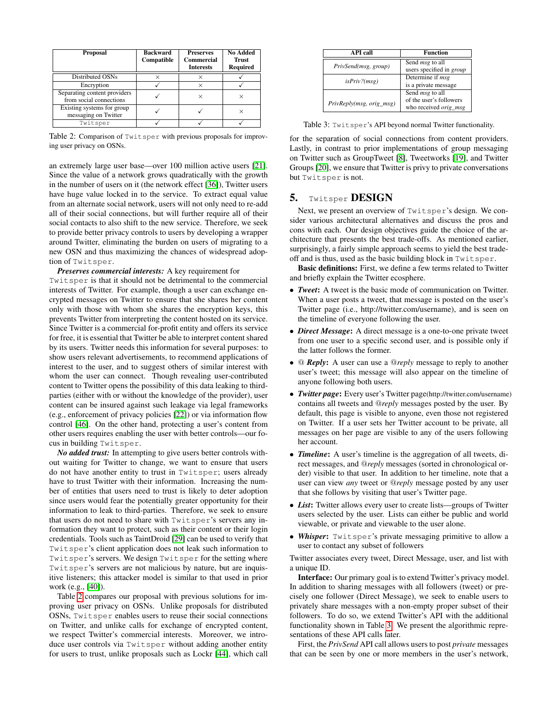<span id="page-2-0"></span>

| Proposal                                                | <b>Backward</b><br>Compatible | <b>Preserves</b><br><b>Commercial</b><br><b>Interests</b> | <b>No Added</b><br><b>Trust</b><br><b>Required</b> |
|---------------------------------------------------------|-------------------------------|-----------------------------------------------------------|----------------------------------------------------|
| Distributed OSNs                                        |                               |                                                           |                                                    |
| Encryption                                              |                               |                                                           |                                                    |
| Separating content providers<br>from social connections |                               |                                                           |                                                    |
| Existing systems for group<br>messaging on Twitter      |                               |                                                           |                                                    |
| Twitsper                                                |                               |                                                           |                                                    |

Table 2: Comparison of Twitsper with previous proposals for improving user privacy on OSNs.

an extremely large user base—over 100 million active users [\[21\]](#page-9-25). Since the value of a network grows quadratically with the growth in the number of users on it (the network effect [\[36\]](#page-9-26)), Twitter users have huge value locked in to the service. To extract equal value from an alternate social network, users will not only need to re-add all of their social connections, but will further require all of their social contacts to also shift to the new service. Therefore, we seek to provide better privacy controls to users by developing a wrapper around Twitter, eliminating the burden on users of migrating to a new OSN and thus maximizing the chances of widespread adoption of Twitsper.

*Preserves commercial interests:* A key requirement for Twitsper is that it should not be detrimental to the commercial interests of Twitter. For example, though a user can exchange encrypted messages on Twitter to ensure that she shares her content only with those with whom she shares the encryption keys, this prevents Twitter from interpreting the content hosted on its service. Since Twitter is a commercial for-profit entity and offers its service for free, it is essential that Twitter be able to interpret content shared by its users. Twitter needs this information for several purposes: to show users relevant advertisements, to recommend applications of interest to the user, and to suggest others of similar interest with whom the user can connect. Though revealing user-contributed content to Twitter opens the possibility of this data leaking to thirdparties (either with or without the knowledge of the provider), user content can be insured against such leakage via legal frameworks (e.g., enforcement of privacy policies [\[22\]](#page-9-27)) or via information flow control [\[46\]](#page-9-28). On the other hand, protecting a user's content from other users requires enabling the user with better controls—our focus in building Twitsper.

*No added trust:* In attempting to give users better controls without waiting for Twitter to change, we want to ensure that users do not have another entity to trust in Twitsper; users already have to trust Twitter with their information. Increasing the number of entities that users need to trust is likely to deter adoption since users would fear the potentially greater opportunity for their information to leak to third-parties. Therefore, we seek to ensure that users do not need to share with Twitsper's servers any information they want to protect, such as their content or their login credentials. Tools such as TaintDroid [\[29\]](#page-9-29) can be used to verify that Twitsper's client application does not leak such information to Twitsper's servers. We design Twitsper for the setting where Twitsper's servers are not malicious by nature, but are inquisitive listeners; this attacker model is similar to that used in prior work (e.g., [\[40\]](#page-9-30)).

Table [2](#page-2-0) compares our proposal with previous solutions for improving user privacy on OSNs. Unlike proposals for distributed OSNs, Twitsper enables users to reuse their social connections on Twitter, and unlike calls for exchange of encrypted content, we respect Twitter's commercial interests. Moreover, we introduce user controls via Twitsper without adding another entity for users to trust, unlike proposals such as Lockr [\[44\]](#page-9-17), which call

<span id="page-2-1"></span>

| <b>API</b> call          | <b>Function</b>                 |  |  |  |  |
|--------------------------|---------------------------------|--|--|--|--|
| PrivSend(msg, group)     | Send <i>msg</i> to all          |  |  |  |  |
|                          | users specified in <i>group</i> |  |  |  |  |
| isPriv?(msg)             | Determine if msg                |  |  |  |  |
|                          | is a private message            |  |  |  |  |
|                          | Send <i>msg</i> to all          |  |  |  |  |
| PrivReply(msg, orig_msg) | of the user's followers         |  |  |  |  |
|                          | who received orig msg           |  |  |  |  |

Table 3: Twitsper's API beyond normal Twitter functionality.

for the separation of social connections from content providers. Lastly, in contrast to prior implementations of group messaging on Twitter such as GroupTweet [\[8\]](#page-9-8), Tweetworks [\[19\]](#page-9-9), and Twitter Groups [\[20\]](#page-9-10), we ensure that Twitter is privy to private conversations but Twitsper is not.

### 5. Twitsper DESIGN

Next, we present an overview of Twitsper's design. We consider various architectural alternatives and discuss the pros and cons with each. Our design objectives guide the choice of the architecture that presents the best trade-offs. As mentioned earlier, surprisingly, a fairly simple approach seems to yield the best tradeoff and is thus, used as the basic building block in Twitsper.

Basic definitions: First, we define a few terms related to Twitter and briefly explain the Twitter ecosphere.

- *Tweet*: A tweet is the basic mode of communication on Twitter. When a user posts a tweet, that message is posted on the user's Twitter page (i.e., http://twitter.com/username), and is seen on the timeline of everyone following the user.
- *Direct Message*: A direct message is a one-to-one private tweet from one user to a specific second user, and is possible only if the latter follows the former.
- @ *Reply*: A user can use a @*reply* message to reply to another user's tweet; this message will also appear on the timeline of anyone following both users.
- *Twitter page*: Every user's Twitter page(http://twitter.com/username) contains all tweets and @*reply* messages posted by the user. By default, this page is visible to anyone, even those not registered on Twitter. If a user sets her Twitter account to be private, all messages on her page are visible to any of the users following her account.
- *Timeline*: A user's timeline is the aggregation of all tweets, direct messages, and @*reply* messages (sorted in chronological order) visible to that user. In addition to her timeline, note that a user can view *any* tweet or @*reply* message posted by any user that she follows by visiting that user's Twitter page.
- *List*: Twitter allows every user to create lists—groups of Twitter users selected by the user. Lists can either be public and world viewable, or private and viewable to the user alone.
- *Whisper*: Twitsper's private messaging primitive to allow a user to contact any subset of followers

Twitter associates every tweet, Direct Message, user, and list with a unique ID.

Interface: Our primary goal is to extend Twitter's privacy model. In addition to sharing messages with all followers (tweet) or precisely one follower (Direct Message), we seek to enable users to privately share messages with a non-empty proper subset of their followers. To do so, we extend Twitter's API with the additional functionality shown in Table [3.](#page-2-1) We present the algorithmic representations of these API calls later.

First, the *PrivSend* API call allows users to post *private* messages that can be seen by one or more members in the user's network,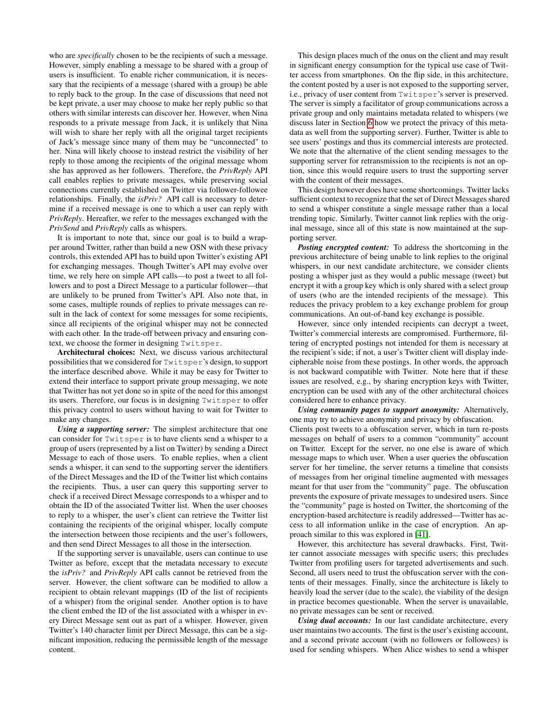who are *specifically* chosen to be the recipients of such a message. However, simply enabling a message to be shared with a group of users is insufficient. To enable richer communication, it is necessary that the recipients of a message (shared with a group) be able to reply back to the group. In the case of discussions that need not be kept private, a user may choose to make her reply public so that others with similar interests can discover her. However, when Nina responds to a private message from Jack, it is unlikely that Nina will wish to share her reply with all the original target recipients of Jack's message since many of them may be "unconnected" to her. Nina will likely choose to instead restrict the visibility of her reply to those among the recipients of the original message whom she has approved as her followers. Therefore, the *PrivReply* API call enables replies to private messages, while preserving social connections currently established on Twitter via follower-followee relationships. Finally, the *isPriv?* API call is necessary to determine if a received message is one to which a user can reply with *PrivReply*. Hereafter, we refer to the messages exchanged with the *PrivSend* and *PrivReply* calls as whispers.

It is important to note that, since our goal is to build a wrapper around Twitter, rather than build a new OSN with these privacy controls, this extended API has to build upon Twitter's existing API for exchanging messages. Though Twitter's API may evolve over time, we rely here on simple API calls—to post a tweet to all followers and to post a Direct Message to a particular follower—that are unlikely to be pruned from Twitter's API. Also note that, in some cases, multiple rounds of replies to private messages can result in the lack of context for some messages for some recipients, since all recipients of the original whisper may not be connected with each other. In the trade-off between privacy and ensuring context, we choose the former in designing Twitsper.

Architectural choices: Next, we discuss various architectural possibilities that we considered for Twitsper's design, to support the interface described above. While it may be easy for Twitter to extend their interface to support private group messaging, we note that Twitter has not yet done so in spite of the need for this amongst its users. Therefore, our focus is in designing Twitsper to offer this privacy control to users without having to wait for Twitter to make any changes.

*Using a supporting server:* The simplest architecture that one can consider for Twitsper is to have clients send a whisper to a group of users (represented by a list on Twitter) by sending a Direct Message to each of those users. To enable replies, when a client sends a whisper, it can send to the supporting server the identifiers of the Direct Messages and the ID of the Twitter list which contains the recipients. Thus, a user can query this supporting server to check if a received Direct Message corresponds to a whisper and to obtain the ID of the associated Twitter list. When the user chooses to reply to a whisper, the user's client can retrieve the Twitter list containing the recipients of the original whisper, locally compute the intersection between those recipients and the user's followers, and then send Direct Messages to all those in the intersection.

If the supporting server is unavailable, users can continue to use Twitter as before, except that the metadata necessary to execute the *isPriv?* and *PrivReply* API calls cannot be retrieved from the server. However, the client software can be modified to allow a recipient to obtain relevant mappings (ID of the list of recipients of a whisper) from the original sender. Another option is to have the client embed the ID of the list associated with a whisper in every Direct Message sent out as part of a whisper. However, given Twitter's 140 character limit per Direct Message, this can be a significant imposition, reducing the permissible length of the message content.

This design places much of the onus on the client and may result in significant energy consumption for the typical use case of Twitter access from smartphones. On the flip side, in this architecture, the content posted by a user is not exposed to the supporting server, i.e., privacy of user content from Twitsper's server is preserved. The server is simply a facilitator of group communications across a private group and only maintains metadata related to whispers (we discuss later in Section [6](#page-4-0) how we protect the privacy of this metadata as well from the supporting server). Further, Twitter is able to see users' postings and thus its commercial interests are protected. We note that the alternative of the client sending messages to the supporting server for retransmission to the recipients is not an option, since this would require users to trust the supporting server with the content of their messages.

This design however does have some shortcomings. Twitter lacks sufficient context to recognize that the set of Direct Messages shared to send a whisper constitute a single message rather than a local trending topic. Similarly, Twitter cannot link replies with the original message, since all of this state is now maintained at the supporting server.

*Posting encrypted content:* To address the shortcoming in the previous architecture of being unable to link replies to the original whispers, in our next candidate architecture, we consider clients posting a whisper just as they would a public message (tweet) but encrypt it with a group key which is only shared with a select group of users (who are the intended recipients of the message). This reduces the privacy problem to a key exchange problem for group communications. An out-of-band key exchange is possible.

However, since only intended recipients can decrypt a tweet, Twitter's commercial interests are compromised. Furthermore, filtering of encrypted postings not intended for them is necessary at the recipient's side; if not, a user's Twitter client will display indecipherable noise from these postings. In other words, the approach is not backward compatible with Twitter. Note here that if these issues are resolved, e.g., by sharing encryption keys with Twitter, encryption can be used with any of the other architectural choices considered here to enhance privacy.

*Using community pages to support anonymity:* Alternatively, one may try to achieve anonymity and privacy by obfuscation. Clients post tweets to a obfuscation server, which in turn re-posts messages on behalf of users to a common "community" account on Twitter. Except for the server, no one else is aware of which message maps to which user. When a user queries the obfuscation server for her timeline, the server returns a timeline that consists of messages from her original timeline augmented with messages meant for that user from the "community" page. The obfuscation prevents the exposure of private messages to undesired users. Since the "community" page is hosted on Twitter, the shortcoming of the encryption-based architecture is readily addressed—Twitter has access to all information unlike in the case of encryption. An approach similar to this was explored in [\[41\]](#page-9-31).

However, this architecture has several drawbacks. First, Twitter cannot associate messages with specific users; this precludes Twitter from profiling users for targeted advertisements and such. Second, all users need to trust the obfuscation server with the contents of their messages. Finally, since the architecture is likely to heavily load the server (due to the scale), the viability of the design in practice becomes questionable. When the server is unavailable, no private messages can be sent or received.

*Using dual accounts:* In our last candidate architecture, every user maintains two accounts. The first is the user's existing account, and a second private account (with no followers or followees) is used for sending whispers. When Alice wishes to send a whisper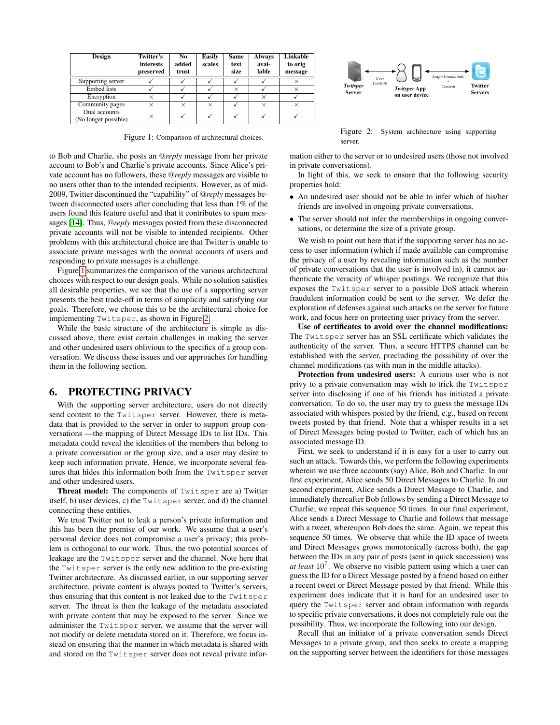<span id="page-4-1"></span>

| Design                                | Twitter's<br>interests<br>preserved | Easily<br>N <sub>0</sub><br>added<br>scales<br>trust |          | <b>Same</b><br>text<br>size | <b>Always</b><br>avai-<br>lable | Linkable<br>to orig<br>message |  |
|---------------------------------------|-------------------------------------|------------------------------------------------------|----------|-----------------------------|---------------------------------|--------------------------------|--|
| Supporting server                     |                                     |                                                      |          |                             |                                 |                                |  |
| <b>Embed</b> lists                    |                                     |                                                      |          | $\times$                    |                                 |                                |  |
| Encryption                            | $\times$                            |                                                      |          |                             | $\times$                        |                                |  |
| Community pages                       | $\times$                            | $\times$                                             | $\times$ |                             | $\times$                        |                                |  |
| Dual accounts<br>(No longer possible) | $\times$                            |                                                      |          |                             |                                 |                                |  |

Figure 1: Comparison of architectural choices.

to Bob and Charlie, she posts an @*reply* message from her private account to Bob's and Charlie's private accounts. Since Alice's private account has no followers, these @*reply* messages are visible to no users other than to the intended recipients. However, as of mid-2009, Twitter discontinued the "capability" of @*reply* messages between disconnected users after concluding that less than 1% of the users found this feature useful and that it contributes to spam messages [\[14\]](#page-9-32). Thus, @*reply* messages posted from these disconnected private accounts will not be visible to intended recipients. Other problems with this architectural choice are that Twitter is unable to associate private messages with the normal accounts of users and responding to private messages is a challenge.

Figure [1](#page-4-1) summarizes the comparison of the various architectural choices with respect to our design goals. While no solution satisfies all desirable properties, we see that the use of a supporting server presents the best trade-off in terms of simplicity and satisfying our goals. Therefore, we choose this to be the architectural choice for implementing Twitsper, as shown in Figure [2.](#page-4-1)

While the basic structure of the architecture is simple as discussed above, there exist certain challenges in making the server and other undesired users oblivious to the specifics of a group conversation. We discuss these issues and our approaches for handling them in the following section.

# <span id="page-4-0"></span>6. PROTECTING PRIVACY

With the supporting server architecture, users do not directly send content to the Twitsper server. However, there is metadata that is provided to the server in order to support group conversations —the mapping of Direct Message IDs to list IDs. This metadata could reveal the identities of the members that belong to a private conversation or the group size, and a user may desire to keep such information private. Hence, we incorporate several features that hides this information both from the Twitsper server and other undesired users.

Threat model: The components of Twitsper are a) Twitter itself, b) user devices, c) the Twitsper server, and d) the channel connecting these entities.

We trust Twitter not to leak a person's private information and this has been the premise of our work. We assume that a user's personal device does not compromise a user's privacy; this problem is orthogonal to our work. Thus, the two potential sources of leakage are the Twitsper server and the channel. Note here that the Twitsper server is the only new addition to the pre-existing Twitter architecture. As discussed earlier, in our supporting server architecture, private content is always posted to Twitter's servers, thus ensuring that this content is not leaked due to the Twitsper server. The threat is then the leakage of the metadata associated with private content that may be exposed to the server. Since we administer the Twitsper server, we assume that the server will not modify or delete metadata stored on it. Therefore, we focus instead on ensuring that the manner in which metadata is shared with and stored on the Twitsper server does not reveal private infor-



Figure 2: System architecture using supporting server.

mation either to the server or to undesired users (those not involved in private conversations).

In light of this, we seek to ensure that the following security properties hold:

- An undesired user should not be able to infer which of his/her friends are involved in ongoing private conversations.
- The server should not infer the memberships in ongoing conversations, or determine the size of a private group.

We wish to point out here that if the supporting server has no access to user information (which if made available can compromise the privacy of a user by revealing information such as the number of private conversations that the user is involved in), it cannot authenticate the veracity of whisper postings. We recognize that this exposes the Twitsper server to a possible DoS attack wherein fraudulent information could be sent to the server. We defer the exploration of defenses against such attacks on the server for future work, and focus here on protecting user privacy from the server.

Use of certificates to avoid over the channel modifications: The Twitsper server has an SSL certificate which validates the authenticity of the server. Thus, a secure HTTPS channel can be established with the server, precluding the possibility of over the channel modifications (as with man in the middle attacks).

Protection from undesired users: A curious user who is not privy to a private conversation may wish to trick the Twitsper server into disclosing if one of his friends has initiated a private conversation. To do so, the user may try to guess the message IDs associated with whispers posted by the friend, e.g., based on recent tweets posted by that friend. Note that a whisper results in a set of Direct Messages being posted to Twitter, each of which has an associated message ID.

First, we seek to understand if it is easy for a user to carry out such an attack. Towards this, we perform the following experiments wherein we use three accounts (say) Alice, Bob and Charlie. In our first experiment, Alice sends 50 Direct Messages to Charlie. In our second experiment, Alice sends a Direct Message to Charlie, and immediately thereafter Bob follows by sending a Direct Message to Charlie; we repeat this sequence 50 times. In our final experiment, Alice sends a Direct Message to Charlie and follows that message with a tweet, whereupon Bob does the same. Again, we repeat this sequence 50 times. We observe that while the ID space of tweets and Direct Messages grows monotonically (across both), the gap between the IDs in any pair of posts (sent in quick succession) was *at least* 10<sup>7</sup> . We observe no visible pattern using which a user can guess the ID for a Direct Message posted by a friend based on either a recent tweet or Direct Message posted by that friend. While this experiment does indicate that it is hard for an undesired user to query the Twitsper server and obtain information with regards to specific private conversations, it does not completely rule out the possibility. Thus, we incorporate the following into our design.

Recall that an initiator of a private conversation sends Direct Messages to a private group, and then seeks to create a mapping on the supporting server between the identifiers for those messages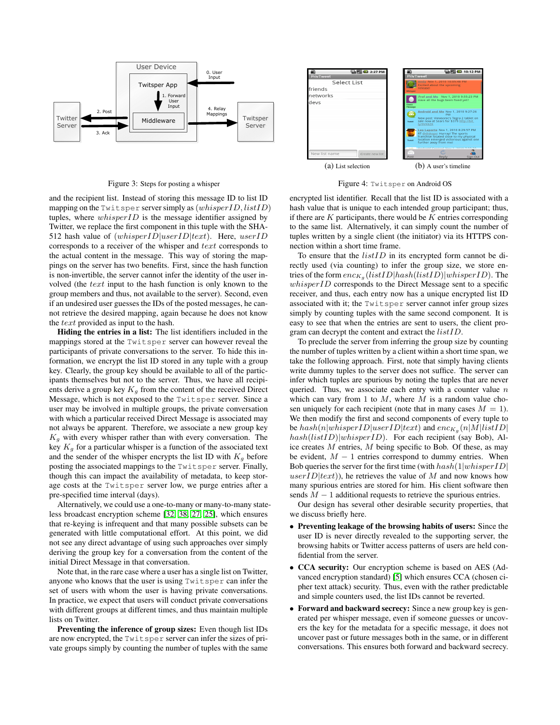<span id="page-5-0"></span>

#### Figure 3: Steps for posting a whisper

and the recipient list. Instead of storing this message ID to list ID mapping on the Twitsper server simply as  $(whisperID, listID)$ tuples, where  $whisperID$  is the message identifier assigned by Twitter, we replace the first component in this tuple with the SHA-512 hash value of  $(whisperID|userID|text)$ . Here, userID corresponds to a receiver of the whisper and text corresponds to the actual content in the message. This way of storing the mappings on the server has two benefits. First, since the hash function is non-invertible, the server cannot infer the identity of the user involved (the text input to the hash function is only known to the group members and thus, not available to the server). Second, even if an undesired user guesses the IDs of the posted messages, he cannot retrieve the desired mapping, again because he does not know the *text* provided as input to the hash.

Hiding the entries in a list: The list identifiers included in the mappings stored at the Twitsper server can however reveal the participants of private conversations to the server. To hide this information, we encrypt the list ID stored in any tuple with a group key. Clearly, the group key should be available to all of the participants themselves but not to the server. Thus, we have all recipients derive a group key  $K_q$  from the content of the received Direct Message, which is not exposed to the Twitsper server. Since a user may be involved in multiple groups, the private conversation with which a particular received Direct Message is associated may not always be apparent. Therefore, we associate a new group key  $K<sub>g</sub>$  with every whisper rather than with every conversation. The key  $K_g$  for a particular whisper is a function of the associated text and the sender of the whisper encrypts the list ID with  $K_q$  before posting the associated mappings to the Twitsper server. Finally, though this can impact the availability of metadata, to keep storage costs at the Twitsper server low, we purge entries after a pre-specified time interval (days).

Alternatively, we could use a one-to-many or many-to-many stateless broadcast encryption scheme [\[32,](#page-9-33) [38,](#page-9-34) [27,](#page-9-35) [25\]](#page-9-36), which ensures that re-keying is infrequent and that many possible subsets can be generated with little computational effort. At this point, we did not see any direct advantage of using such approaches over simply deriving the group key for a conversation from the content of the initial Direct Message in that conversation.

Note that, in the rare case where a user has a single list on Twitter, anyone who knows that the user is using Twitsper can infer the set of users with whom the user is having private conversations. In practice, we expect that users will conduct private conversations with different groups at different times, and thus maintain multiple lists on Twitter.

Preventing the inference of group sizes: Even though list IDs are now encrypted, the Twitsper server can infer the sizes of private groups simply by counting the number of tuples with the same



Figure 4: Twitsper on Android OS

encrypted list identifier. Recall that the list ID is associated with a hash value that is unique to each intended group participant; thus, if there are  $K$  participants, there would be  $K$  entries corresponding to the same list. Alternatively, it can simply count the number of tuples written by a single client (the initiator) via its HTTPS connection within a short time frame.

To ensure that the  $listID$  in its encrypted form cannot be directly used (via counting) to infer the group size, we store entries of the form  $enc_{K_g}(listID|hash(listID)|whisperID)$ . The whisperID corresponds to the Direct Message sent to a specific receiver, and thus, each entry now has a unique encrypted list ID associated with it; the Twitsper server cannot infer group sizes simply by counting tuples with the same second component. It is easy to see that when the entries are sent to users, the client program can decrypt the content and extract the  $listID$ .

To preclude the server from inferring the group size by counting the number of tuples written by a client within a short time span, we take the following approach. First, note that simply having clients write dummy tuples to the server does not suffice. The server can infer which tuples are spurious by noting the tuples that are never queried. Thus, we associate each entry with a counter value  $n$ which can vary from 1 to  $M$ , where  $M$  is a random value chosen uniquely for each recipient (note that in many cases  $M = 1$ ). We then modify the first and second components of every tuple to be  $hash(n|whisperID|userID|text)$  and  $enc_{K_g}(n|M|listID|$  $hash(listID)|whisperID)$ . For each recipient (say Bob), Alice creates M entries, M being specific to Bob. Of these, as may be evident,  $M - 1$  entries correspond to dummy entries. When Bob queries the server for the first time (with  $hash(1|whisperID)$ )  $userID(text)$ , he retrieves the value of M and now knows how many spurious entries are stored for him. His client software then sends  $M - 1$  additional requests to retrieve the spurious entries.

Our design has several other desirable security properties, that we discuss briefly here.

- Preventing leakage of the browsing habits of users: Since the user ID is never directly revealed to the supporting server, the browsing habits or Twitter access patterns of users are held confidential from the server.
- CCA security: Our encryption scheme is based on AES (Advanced encryption standard) [\[5\]](#page-9-37) which ensures CCA (chosen cipher text attack) security. Thus, even with the rather predictable and simple counters used, the list IDs cannot be reverted.
- Forward and backward secrecy: Since a new group key is generated per whisper message, even if someone guesses or uncovers the key for the metadata for a specific message, it does not uncover past or future messages both in the same, or in different conversations. This ensures both forward and backward secrecy.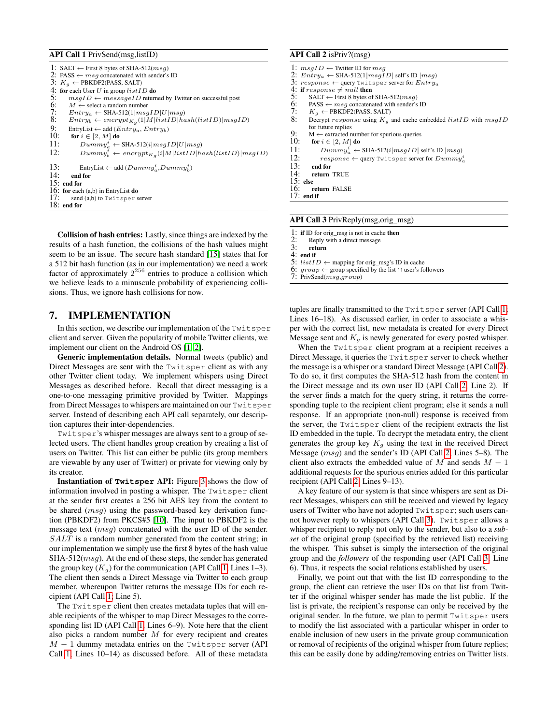#### <span id="page-6-0"></span>API Call 1 PrivSend(msg,listID)

| 1: SALT $\leftarrow$ First 8 bytes of SHA-512( $msq$ )                               |
|--------------------------------------------------------------------------------------|
| 2: PASS $\leftarrow$ msq concatenated with sender's ID                               |
| 3: $K_a \leftarrow$ PBKDF2(PASS, SALT)                                               |
| 4: for each User U in group $listID$ do                                              |
| 5:<br>$msqID \leftarrow messageID$ returned by Twitter on successful post            |
| 6:<br>$M \leftarrow$ select a random number                                          |
| $Entry_a \leftarrow SHA-512(1   msgID U  msg)$                                       |
| $\frac{7}{8}$<br>$Entropy_b \leftarrow encrypt_{K_a}(1 M listID hash(listID) msgID)$ |
| 9:<br>$EntropyList \leftarrow add(Entry_a, Entry_b)$                                 |
| 10:<br>for $i \in [2, M]$ do                                                         |
| 11:<br>$Dummy^i_a \leftarrow \text{SHA-512}(i   msgID U   msg)$                      |
| $Dummy_b^i \leftarrow encrypt_{K_q}(i M listID hash(listID) msgID)$<br>12:           |
| 13:                                                                                  |
| EntryList $\leftarrow$ add $(Dummy_a^i, Dummy_b^i)$                                  |
| 14:<br>end for                                                                       |
| $15:$ end for                                                                        |
| 16: for each $(a,b)$ in EntryList do                                                 |
| 17:<br>send (a,b) to Twitsper server                                                 |
| $18:$ end for                                                                        |

Collision of hash entries: Lastly, since things are indexed by the results of a hash function, the collisions of the hash values might seem to be an issue. The secure hash standard [\[15\]](#page-9-38) states that for a 512 bit hash function (as in our implementation) we need a work factor of approximately  $2^{256}$  entries to produce a collision which we believe leads to a minuscule probability of experiencing collisions. Thus, we ignore hash collisions for now.

# 7. IMPLEMENTATION

In this section, we describe our implementation of the Twitsper client and server. Given the popularity of mobile Twitter clients, we implement our client on the Android OS [\[1,](#page-9-39) [2\]](#page-9-40).

Generic implementation details. Normal tweets (public) and Direct Messages are sent with the Twitsper client as with any other Twitter client today. We implement whispers using Direct Messages as described before. Recall that direct messaging is a one-to-one messaging primitive provided by Twitter. Mappings from Direct Messages to whispers are maintained on our Twitsper server. Instead of describing each API call separately, our description captures their inter-dependencies.

Twitsper's whisper messages are always sent to a group of selected users. The client handles group creation by creating a list of users on Twitter. This list can either be public (its group members are viewable by any user of Twitter) or private for viewing only by its creator.

Instantiation of **Twitsper** API: Figure [3](#page-5-0) shows the flow of information involved in posting a whisper. The Twitsper client at the sender first creates a 256 bit AES key from the content to be shared  $(msq)$  using the password-based key derivation function (PBKDF2) from PKCS#5 [\[10\]](#page-9-41). The input to PBKDF2 is the message text (*msg*) concatenated with the user ID of the sender. SALT is a random number generated from the content string; in our implementation we simply use the first 8 bytes of the hash value  $SHA-512(msq)$ . At the end of these steps, the sender has generated the group key  $(K_g)$  for the communication (API Call [1;](#page-6-0) Lines 1–3). The client then sends a Direct Message via Twitter to each group member, whereupon Twitter returns the message IDs for each recipient (API Call [1;](#page-6-0) Line 5).

The Twitsper client then creates metadata tuples that will enable recipients of the whisper to map Direct Messages to the corresponding list ID (API Call [1;](#page-6-0) Lines 6–9). Note here that the client also picks a random number  $M$  for every recipient and creates  $M - 1$  dummy metadata entries on the Twitsper server (API Call [1;](#page-6-0) Lines 10–14) as discussed before. All of these metadata

#### <span id="page-6-1"></span>API Call 2 isPriv?(msg)

| 1: $msqID \leftarrow$ Twitter ID for $msq$<br>2: $Entry_a \leftarrow SHA-512(1   msgID  self's ID   msg)$ |
|-----------------------------------------------------------------------------------------------------------|
| 3: response $\leftarrow$ query Twitsper server for $Entry_a$                                              |
| 4: if $response \neq null$ then                                                                           |
| 5:<br>$SALT \leftarrow$ First 8 bytes of SHA-512( $msq$ )                                                 |
| 6:<br>PASS $\leftarrow msq$ concatenated with sender's ID                                                 |
| 7:<br>$K_q \leftarrow$ PBKDF2(PASS, SALT)                                                                 |
| 8:<br>Decrypt response using $K_q$ and cache embedded list ID with $msgID$                                |
| for future replies                                                                                        |
| 9:<br>$M \leftarrow$ extracted number for spurious queries                                                |
| 10:<br>for $i \in [2, M]$ do                                                                              |
| 11:<br>$Dummy^i_{\alpha} \leftarrow$ SHA-512(i msgID  self's ID  msg)                                     |
| 12:<br>$response \leftarrow query$ Twitsper server for $Dumm y^i_a$                                       |
| 13:<br>end for                                                                                            |
| 14:<br>return TRUE                                                                                        |
| $15:$ else                                                                                                |
| 16:<br>return FALSE                                                                                       |
| $17:$ end if                                                                                              |

### <span id="page-6-2"></span>API Call 3 PrivReply(msg,orig\_msg)

1: if ID for orig\_msg is not in cache then<br>2: Reply with a direct message

- 2: Reply with a direct message<br>3:  $return$ return
- 
- 4: end if
- 5:  $listID \leftarrow$  mapping for orig\_msg's ID in cache
- 6:  $group \leftarrow group$  specified by the list ∩ user's followers
- 7: PrivSend(msg,group)

tuples are finally transmitted to the Twitsper server (API Call [1;](#page-6-0) Lines 16–18). As discussed earlier, in order to associate a whisper with the correct list, new metadata is created for every Direct Message sent and  $K_q$  is newly generated for every posted whisper.

When the Twitsper client program at a recipient receives a Direct Message, it queries the Twitsper server to check whether the message is a whisper or a standard Direct Message (API Call [2\)](#page-6-1). To do so, it first computes the SHA-512 hash from the content in the Direct message and its own user ID (API Call [2;](#page-6-1) Line 2). If the server finds a match for the query string, it returns the corresponding tuple to the recipient client program; else it sends a null response. If an appropriate (non-null) response is received from the server, the Twitsper client of the recipient extracts the list ID embedded in the tuple. To decrypt the metadata entry, the client generates the group key  $K_g$  using the text in the received Direct Message (msg) and the sender's ID (API Call [2;](#page-6-1) Lines 5–8). The client also extracts the embedded value of  $M$  and sends  $M - 1$ additional requests for the spurious entries added for this particular recipient (API Call [2;](#page-6-1) Lines 9–13).

A key feature of our system is that since whispers are sent as Direct Messages, whispers can still be received and viewed by legacy users of Twitter who have not adopted Twitsper; such users cannot however reply to whispers (API Call [3\)](#page-6-2). Twitsper allows a whisper recipient to reply not only to the sender, but also to a *subset* of the original group (specified by the retrieved list) receiving the whisper. This subset is simply the intersection of the original group and the *followers* of the responding user (API Call [3;](#page-6-2) Line 6). Thus, it respects the social relations established by users.

Finally, we point out that with the list ID corresponding to the group, the client can retrieve the user IDs on that list from Twitter if the original whisper sender has made the list public. If the list is private, the recipient's response can only be received by the original sender. In the future, we plan to permit Twitsper users to modify the list associated with a particular whisper in order to enable inclusion of new users in the private group communication or removal of recipients of the original whisper from future replies; this can be easily done by adding/removing entries on Twitter lists.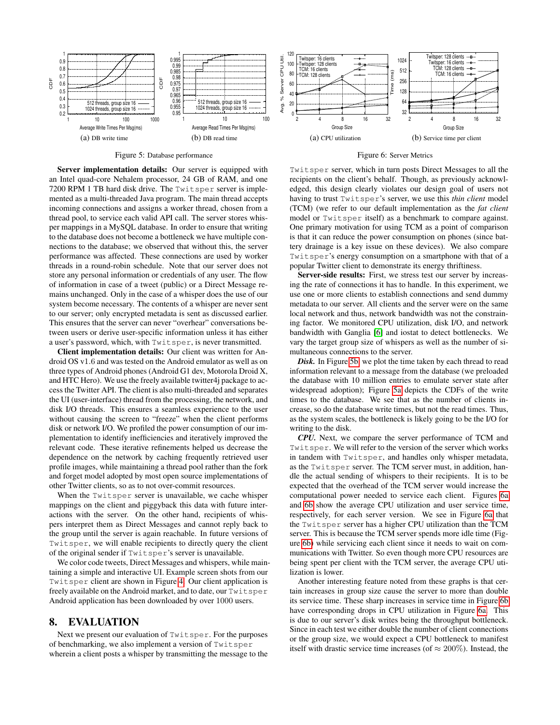<span id="page-7-1"></span>

<span id="page-7-0"></span>Figure 5: Database performance

Server implementation details: Our server is equipped with an Intel quad-core Nehalem processor, 24 GB of RAM, and one 7200 RPM 1 TB hard disk drive. The Twitsper server is implemented as a multi-threaded Java program. The main thread accepts incoming connections and assigns a worker thread, chosen from a thread pool, to service each valid API call. The server stores whisper mappings in a MySQL database. In order to ensure that writing to the database does not become a bottleneck we have multiple connections to the database; we observed that without this, the server performance was affected. These connections are used by worker threads in a round-robin schedule. Note that our server does not store any personal information or credentials of any user. The flow of information in case of a tweet (public) or a Direct Message remains unchanged. Only in the case of a whisper does the use of our system become necessary. The contents of a whisper are never sent to our server; only encrypted metadata is sent as discussed earlier. This ensures that the server can never "overhear" conversations between users or derive user-specific information unless it has either a user's password, which, with Twitsper, is never transmitted.

Client implementation details: Our client was written for Android OS v1.6 and was tested on the Android emulator as well as on three types of Android phones (Android G1 dev, Motorola Droid X, and HTC Hero). We use the freely available twitter4j package to access the Twitter API. The client is also multi-threaded and separates the UI (user-interface) thread from the processing, the network, and disk I/O threads. This ensures a seamless experience to the user without causing the screen to "freeze" when the client performs disk or network I/O. We profiled the power consumption of our implementation to identify inefficiencies and iteratively improved the relevant code. These iterative refinements helped us decrease the dependence on the network by caching frequently retrieved user profile images, while maintaining a thread pool rather than the fork and forget model adopted by most open source implementations of other Twitter clients, so as to not over-commit resources.

When the Twitsper server is unavailable, we cache whisper mappings on the client and piggyback this data with future interactions with the server. On the other hand, recipients of whispers interpret them as Direct Messages and cannot reply back to the group until the server is again reachable. In future versions of Twitsper, we will enable recipients to directly query the client of the original sender if Twitsper's server is unavailable.

We color code tweets, Direct Messages and whispers, while maintaining a simple and interactive UI. Example screen shots from our Twitsper client are shown in Figure [4.](#page-5-0) Our client application is freely available on the Android market, and to date, our Twitsper Android application has been downloaded by over 1000 users.

### 8. EVALUATION

Next we present our evaluation of Twitsper. For the purposes of benchmarking, we also implement a version of Twitsper wherein a client posts a whisper by transmitting the message to the

<span id="page-7-2"></span>

#### <span id="page-7-3"></span>Figure 6: Server Metrics

Twitsper server, which in turn posts Direct Messages to all the recipients on the client's behalf. Though, as previously acknowledged, this design clearly violates our design goal of users not having to trust Twitsper's server, we use this *thin client* model (TCM) (we refer to our default implementation as the *fat client* model or Twitsper itself) as a benchmark to compare against. One primary motivation for using TCM as a point of comparison is that it can reduce the power consumption on phones (since battery drainage is a key issue on these devices). We also compare Twitsper's energy consumption on a smartphone with that of a popular Twitter client to demonstrate its energy thriftiness.

Server-side results: First, we stress test our server by increasing the rate of connections it has to handle. In this experiment, we use one or more clients to establish connections and send dummy metadata to our server. All clients and the server were on the same local network and thus, network bandwidth was not the constraining factor. We monitored CPU utilization, disk I/O, and network bandwidth with Ganglia [\[6\]](#page-9-42) and iostat to detect bottlenecks. We vary the target group size of whispers as well as the number of simultaneous connections to the server.

*Disk.* In Figure [5b,](#page-7-0) we plot the time taken by each thread to read information relevant to a message from the database (we preloaded the database with 10 million entries to emulate server state after widespread adoption); Figure [5a](#page-7-1) depicts the CDFs of the write times to the database. We see that as the number of clients increase, so do the database write times, but not the read times. Thus, as the system scales, the bottleneck is likely going to be the I/O for writing to the disk.

*CPU.* Next, we compare the server performance of TCM and Twitsper. We will refer to the version of the server which works in tandem with Twitsper, and handles only whisper metadata, as the Twitsper server. The TCM server must, in addition, handle the actual sending of whispers to their recipients. It is to be expected that the overhead of the TCM server would increase the computational power needed to service each client. Figures [6a](#page-7-2) and [6b](#page-7-3) show the average CPU utilization and user service time, respectively, for each server version. We see in Figure [6a](#page-7-2) that the Twitsper server has a higher CPU utilization than the TCM server. This is because the TCM server spends more idle time (Figure [6b\)](#page-7-3) while servicing each client since it needs to wait on communications with Twitter. So even though more CPU resources are being spent per client with the TCM server, the average CPU utilization is lower.

Another interesting feature noted from these graphs is that certain increases in group size cause the server to more than double its service time. These sharp increases in service time in Figure [6b](#page-7-3) have corresponding drops in CPU utilization in Figure [6a.](#page-7-2) This is due to our server's disk writes being the throughput bottleneck. Since in each test we either double the number of client connections or the group size, we would expect a CPU bottleneck to manifest itself with drastic service time increases (of  $\approx 200\%$ ). Instead, the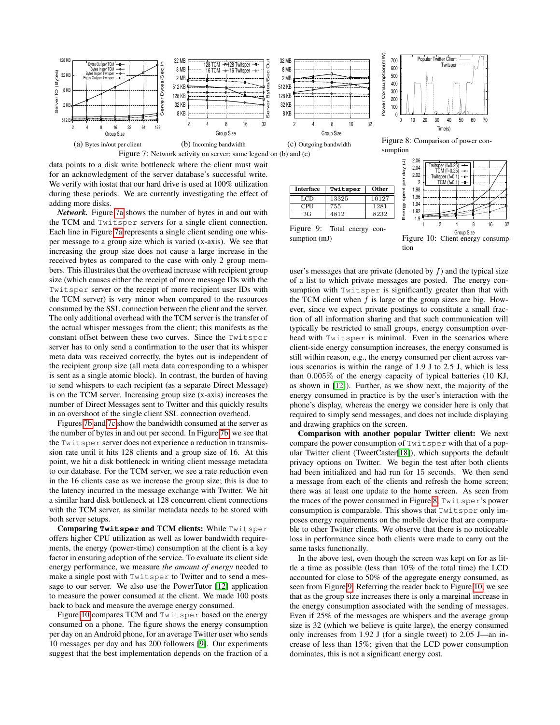<span id="page-8-4"></span><span id="page-8-0"></span>

<span id="page-8-1"></span>Figure 7: Network activity on server; same legend on (b) and (c)

data points to a disk write bottleneck where the client must wait for an acknowledgment of the server database's successful write. We verify with iostat that our hard drive is used at 100% utilization during these periods. We are currently investigating the effect of adding more disks.

*Network.* Figure [7a](#page-8-0) shows the number of bytes in and out with the TCM and Twitsper servers for a single client connection. Each line in Figure [7a](#page-8-0) represents a single client sending one whisper message to a group size which is varied (x-axis). We see that increasing the group size does not cause a large increase in the received bytes as compared to the case with only 2 group members. This illustrates that the overhead increase with recipient group size (which causes either the receipt of more message IDs with the Twitsper server or the receipt of more recipient user IDs with the TCM server) is very minor when compared to the resources consumed by the SSL connection between the client and the server. The only additional overhead with the TCM server is the transfer of the actual whisper messages from the client; this manifests as the constant offset between these two curves. Since the Twitsper server has to only send a confirmation to the user that its whisper meta data was received correctly, the bytes out is independent of the recipient group size (all meta data corresponding to a whisper is sent as a single atomic block). In contrast, the burden of having to send whispers to each recipient (as a separate Direct Message) is on the TCM server. Increasing group size (x-axis) increases the number of Direct Messages sent to Twitter and this quickly results in an overshoot of the single client SSL connection overhead.

Figures [7b](#page-8-1) and [7c](#page-8-2) show the bandwidth consumed at the server as the number of bytes in and out per second. In Figure [7b,](#page-8-1) we see that the Twitsper server does not experience a reduction in transmission rate until it hits 128 clients and a group size of 16. At this point, we hit a disk bottleneck in writing client message metadata to our database. For the TCM server, we see a rate reduction even in the 16 clients case as we increase the group size; this is due to the latency incurred in the message exchange with Twitter. We hit a similar hard disk bottleneck at 128 concurrent client connections with the TCM server, as similar metadata needs to be stored with both server setups.

Comparing **Twitsper** and TCM clients: While Twitsper offers higher CPU utilization as well as lower bandwidth requirements, the energy (power∗time) consumption at the client is a key factor in ensuring adoption of the service. To evaluate its client side energy performance, we measure *the amount of energy* needed to make a single post with Twitsper to Twitter and to send a message to our server. We also use the PowerTutor [\[12\]](#page-9-43) application to measure the power consumed at the client. We made 100 posts back to back and measure the average energy consumed.

Figure [10](#page-8-3) compares TCM and Twitsper based on the energy consumed on a phone. The figure shows the energy consumption per day on an Android phone, for an average Twitter user who sends 10 messages per day and has 200 followers [\[9\]](#page-9-44). Our experiments suggest that the best implementation depends on the fraction of a

|        |    | 100                                            |             |    |         |    |    |    |    |
|--------|----|------------------------------------------------|-------------|----|---------|----|----|----|----|
| 16     | 32 |                                                | 10          | 20 | 30      | 40 | 50 | 60 | 70 |
| ) Size |    |                                                |             |    | Time(s) |    |    |    |    |
| dwidth |    | Figure 8: Comparison of power con-<br>sumption |             |    |         |    |    |    |    |
|        |    | E                                              | 2.06<br>2 M |    |         |    |    |    |    |

700

<span id="page-8-3"></span><span id="page-8-2"></span>

| <b>Interface</b> | Twitsper | Other |
|------------------|----------|-------|
| LCD              | 13325    | 10127 |
| <b>CPU</b>       | 755      | 1281  |
| 3G               | 4812     | 8232  |
|                  |          |       |

sumption (mJ)



Figure 9: Total energy con-Figure 10: Client energy consumption

Popular Twitter Client Twitspe

user's messages that are private (denoted by  $f$ ) and the typical size of a list to which private messages are posted. The energy consumption with Twitsper is significantly greater than that with the TCM client when  $f$  is large or the group sizes are big. However, since we expect private postings to constitute a small fraction of all information sharing and that such communication will typically be restricted to small groups, energy consumption overhead with Twitsper is minimal. Even in the scenarios where client-side energy consumption increases, the energy consumed is still within reason, e.g., the energy consumed per client across various scenarios is within the range of 1.9 J to 2.5 J, which is less than 0.005% of the energy capacity of typical batteries (10 KJ, as shown in [\[12\]](#page-9-43)). Further, as we show next, the majority of the energy consumed in practice is by the user's interaction with the phone's display, whereas the energy we consider here is only that required to simply send messages, and does not include displaying and drawing graphics on the screen.

Comparison with another popular Twitter client: We next compare the power consumption of Twitsper with that of a popular Twitter client (TweetCaster[\[18\]](#page-9-45)), which supports the default privacy options on Twitter. We begin the test after both clients had been initialized and had run for 15 seconds. We then send a message from each of the clients and refresh the home screen; there was at least one update to the home screen. As seen from the traces of the power consumed in Figure [8,](#page-8-4) Twitsper's power consumption is comparable. This shows that Twitsper only imposes energy requirements on the mobile device that are comparable to other Twitter clients. We observe that there is no noticeable loss in performance since both clients were made to carry out the same tasks functionally.

In the above test, even though the screen was kept on for as little a time as possible (less than 10% of the total time) the LCD accounted for close to 50% of the aggregate energy consumed, as seen from Figure [9.](#page-8-3) Referring the reader back to Figure [10,](#page-8-3) we see that as the group size increases there is only a marginal increase in the energy consumption associated with the sending of messages. Even if 25% of the messages are whispers and the average group size is 32 (which we believe is quite large), the energy consumed only increases from 1.92 J (for a single tweet) to 2.05 J—an increase of less than 15%; given that the LCD power consumption dominates, this is not a significant energy cost.